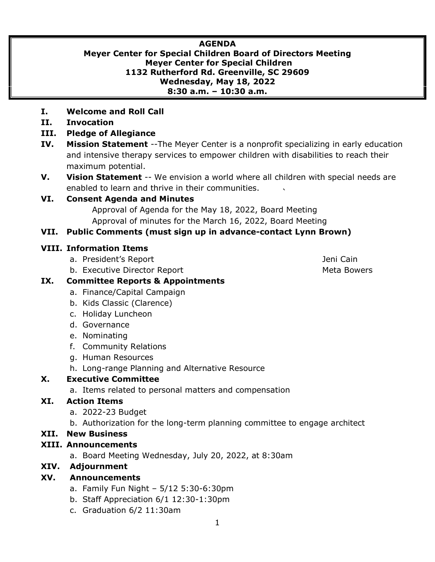# **AGENDA**

#### **Meyer Center for Special Children Board of Directors Meeting Meyer Center for Special Children 1132 Rutherford Rd. Greenville, SC 29609 Wednesday, May 18, 2022 8:30 a.m. – 10:30 a.m.**

- **I. Welcome and Roll Call**
- **II. Invocation**
- **III. Pledge of Allegiance**
- **IV. Mission Statement** --The Meyer Center is a nonprofit specializing in early education and intensive therapy services to empower children with disabilities to reach their maximum potential.
- **V. Vision Statement** -- We envision a world where all children with special needs are enabled to learn and thrive in their communities.

#### **VI. Consent Agenda and Minutes**

Approval of Agenda for the May 18, 2022, Board Meeting Approval of minutes for the March 16, 2022, Board Meeting

#### **VII. Public Comments (must sign up in advance-contact Lynn Brown)**

#### **VIII. Information Items**

- a. President's Report Andrew Area and The Linux and The Jeni Cain
- b. Executive Director Report **Meta Bowers** Meta Bowers

# **IX. Committee Reports & Appointments**

- a. Finance/Capital Campaign
- b. Kids Classic (Clarence)
- c. Holiday Luncheon
- d. Governance
- e. Nominating
- f. Community Relations
- g. Human Resources
- h. Long-range Planning and Alternative Resource

## **X. Executive Committee**

a. Items related to personal matters and compensation

## **XI. Action Items**

- a. 2022-23 Budget
- b. Authorization for the long-term planning committee to engage architect

#### **XII. New Business**

## **XIII. Announcements**

a. Board Meeting Wednesday, July 20, 2022, at 8:30am

## **XIV. Adjournment**

## **XV. Announcements**

- a. Family Fun Night 5/12 5:30-6:30pm
- b. Staff Appreciation 6/1 12:30-1:30pm
- c. Graduation 6/2 11:30am